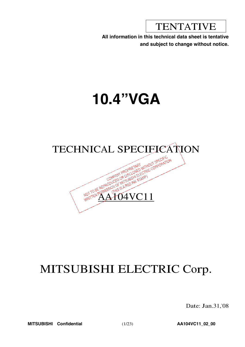TENTATIVE

**All information in this technical data sheet is tentative and subject to change without notice.**

# **10.4"VGA**



# MITSUBISHI ELECTRIC Corp.

Date: Jan.31,'08

**MITSUBISHI Confidential** (1/23) **AA104VC11\_02\_00**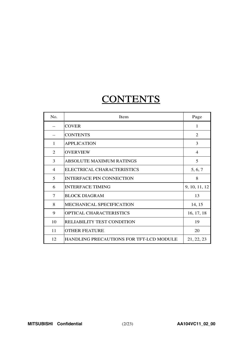# **CONTENTS**

| No.          | <b>Item</b>                                    | Page           |
|--------------|------------------------------------------------|----------------|
|              | <b>COVER</b>                                   | $\mathbf{1}$   |
|              | <b>CONTENTS</b>                                | 2              |
| $\mathbf{1}$ | <b>APPLICATION</b>                             | 3              |
| 2            | <b>OVERVIEW</b>                                | $\overline{4}$ |
| 3            | <b>ABSOLUTE MAXIMUM RATINGS</b>                | 5              |
| 4            | ELECTRICAL CHARACTERISTICS                     | 5, 6, 7        |
| 5            | <b>INTERFACE PIN CONNECTION</b>                | 8              |
| 6            | <b>INTERFACE TIMING</b>                        | 9, 10, 11, 12  |
| 7            | <b>BLOCK DIAGRAM</b>                           | 13             |
| 8            | <b>MECHANICAL SPECIFICATION</b>                | 14, 15         |
| 9            | OPTICAL CHARACTERISTICS                        | 16, 17, 18     |
| 10           | <b>RELIABILITY TEST CONDITION</b>              | 19             |
| 11           | <b>OTHER FEATURE</b>                           | 20             |
| 12           | <b>HANDLING PRECAUTIONS FOR TFT-LCD MODULE</b> | 21, 22, 23     |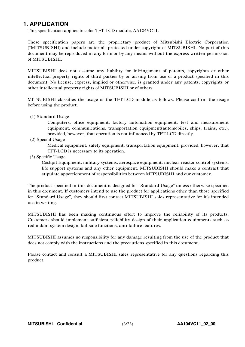# **1. APPLICATION**

This specification applies to color TFT-LCD module, AA104VC11.

These specification papers are the proprietary product of Mitsubishi Electric Corporation ("MITSUBISHI) and include materials protected under copyright of MITSUBISHI. No part of this document may be reproduced in any form or by any means without the express written permission of MITSUBISHI.

MITSUBISHI does not assume any liability for infringement of patents, copyrights or other intellectual property rights of third parties by or arising from use of a product specified in this document. No license, express, implied or otherwise, is granted under any patents, copyrights or other intellectual property rights of MITSUBISHI or of others.

MITSUBISHI classifies the usage of the TFT-LCD module as follows. Please confirm the usage before using the product.

(1) Standard Usage

Computers, office equipment, factory automation equipment, test and measurement equipment, communications, transportation equipment(automobiles, ships, trains, etc.), provided, however, that operation is not influenced by TFT-LCD directly.

(2) Special Usage

Medical equipment, safety equipment, transportation equipment, provided, however, that TFT-LCD is necessary to its operation.

(3) Specific Usage

Cockpit Equipment, military systems, aerospace equipment, nuclear reactor control systems, life support systems and any other equipment. MITSUBISHI should make a contract that stipulate apportionment of responsibilities between MITSUBISHI and our customer.

The product specified in this document is designed for "Standard Usage" unless otherwise specified in this document. If customers intend to use the product for applications other than those specified for "Standard Usage", they should first contact MITSUBISHI sales representative for it's intended use in writing.

MITSUBISHI has been making continuous effort to improve the reliability of its products. Customers should implement sufficient reliability design of their application equipments such as redundant system design, fail-safe functions, anti-failure features.

MITSUBISHI assumes no responsibility for any damage resulting from the use of the product that does not comply with the instructions and the precautions specified in this document.

Please contact and consult a MITSUBISHI sales representative for any questions regarding this product.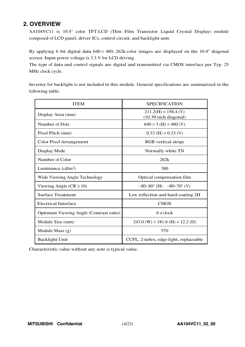# **2. OVERVIEW**

AA104VC11 is 10.4" color TFT-LCD (Thin Film Transistor Liquid Crystal Display) module composed of LCD panel, driver ICs, control circuit, and backlight unit.

By applying 6 bit digital data  $640 \times 480$ , 262k-color images are displayed on the 10.4" diagonal screen. Input power voltage is 3.3 V for LCD driving.

The type of data and control signals are digital and transmitted via CMOS interface per Typ. 25 MHz clock cycle.

Inverter for backlight is not included in this module. General specifications are summarized in the following table:

| <b>ITEM</b>                            | <b>SPECIFICATION</b>                                    |
|----------------------------------------|---------------------------------------------------------|
| Display Area (mm)                      | $211.2(H) \times 158.4$ (V)<br>$(10.39$ -inch diagonal) |
| Number of Dots                         | $640 \times 3$ (H) $\times 480$ (V)                     |
| Pixel Pitch (mm)                       | $0.33$ (H) $\times$ 0.33 (V)                            |
| <b>Color Pixel Arrangement</b>         | RGB vertical stripe                                     |
| Display Mode                           | Normally white TN                                       |
| Number of Color                        | 262k                                                    |
| Luminance $(cd/m2)$                    | 380                                                     |
| Wide Viewing Angle Technology          | Optical compensation film                               |
| Viewing Angle ( $CR \ge 10$ )          | $-80-80^{\circ}$ (H) $-80-70^{\circ}$ (V)               |
| <b>Surface Treatment</b>               | Low reflection and hard-coating 2H                      |
| <b>Electrical Interface</b>            | <b>CMOS</b>                                             |
| Optimum Viewing Angle (Contrast ratio) | 6 o'clock                                               |
| Module Size (mm)                       | $243.0$ (W) $\times$ 181.6 (H) $\times$ 12.2 (D)        |
| Module Mass $(g)$                      | 570                                                     |
| <b>Backlight Unit</b>                  | CCFL, 2-tubes, edge-light, replaceable                  |

Characteristic value without any note is typical value.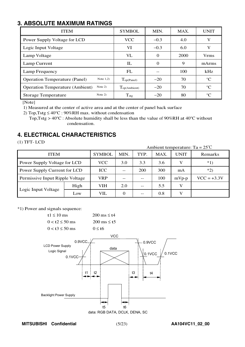# **3. ABSOLUTE MAXIMUM RATINGS**

| <b>ITEM</b>                                         | <b>SYMBOL</b>               | MIN.     | MAX. | <b>UNIT</b> |
|-----------------------------------------------------|-----------------------------|----------|------|-------------|
| Power Supply Voltage for LCD                        | <b>VCC</b>                  | $-0.3$   | 4.0  | V           |
| Logic Input Voltage                                 | VI                          | $-0.3$   | 6.0  | V           |
| Lamp Voltage                                        | VL                          | 0        | 2000 | <b>Vrms</b> |
| Lamp Current                                        | IL                          | $\Omega$ | 9    | mArms       |
| Lamp Frequency                                      | FL                          |          | 100  | kHz         |
| Note $1,2)$<br><b>Operation Temperature (Panel)</b> | $\Gamma_{\text{op(Panel)}}$ | $-20$    | 70   | $^{\circ}C$ |
| Note $2)$<br><b>Operation Temperature (Ambient)</b> | $T_{\text{op(Ambient)}}$    | $-20$    | 70   | $^{\circ}C$ |
| Note 2)<br><b>Storage Temperature</b>               | $T_{\text{stg}}$            | $-20$    | 80   | $^{\circ}C$ |

[Note]

1) Measured at the center of active area and at the center of panel back surface

2) Top, Tstg  $\leq 40^{\circ}$ C : 90%RH max. without condensation

<sup>T</sup>op,Tstg <sup>&</sup>gt; <sup>40</sup>°<sup>C</sup> : Absolute humidity shall be less than the value of <sup>90</sup>%RH at <sup>40</sup>°<sup>C</sup> without condensation.

# **4. ELECTRICAL CHARACTERISTICS**

(1) TFT- LCD

Ambient temperature: Ta <sup>=</sup> 25℃

| <b>ITEM</b>                     |            | <b>SYMBOL</b> | MIN.     | TYP.  | MAX. | <b>UNIT</b> | Remarks       |
|---------------------------------|------------|---------------|----------|-------|------|-------------|---------------|
| Power Supply Voltage for LCD    | <b>VCC</b> | 3.0           | 3.3      | 3.6   |      | $*1)$       |               |
| Power Supply Current for LCD    |            | <b>ICC</b>    |          | 200   | 300  | mA          | $*2)$         |
| Permissive Input Ripple Voltage |            | VRP           | $- -$    |       | 100  | $mVp-p$     | $VCC = +3.3V$ |
|                                 | High       | VIH           | 2.0      |       | 5.5  | V           |               |
| Logic Input Voltage             | Low        | VIL           | $\Omega$ | $- -$ | 0.8  | v           |               |

\*1) Power and signals sequence:



**MITSUBISHI Confidential** (5/23) **AA104VC11\_02\_00**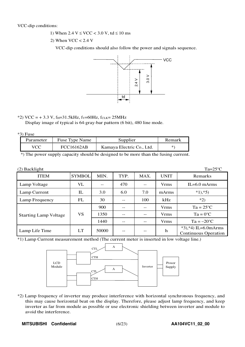VCC-dip conditions:

- 1) When  $2.4 \text{ V} \leq \text{VCC} < 3.0 \text{ V}$ , td  $\leq 10 \text{ ms}$
- 2) When  $VCC < 2.4$  V

VCC-dip conditions should also follow the power and signals sequence.



## \*2) VCC =  $+3.3$  V, f<sub>H</sub>=31.5kHz, fv=60Hz, fcLK= 25MHz

Display image of typical is 64-gray-bar pattern (6 bit), 480 line mode.

 $*3$ ) Fuse

| Parameter | Fuse Type Name    | Supplier                  | Remark |
|-----------|-------------------|---------------------------|--------|
| VCC       | <b>FCC16162AB</b> | Kamaya Electric Co., Ltd. | *`     |

\*) The power supply capacity should be designed to be more than the fusing current.

| $(2)$ Backlight              |               |       |      |      |              | $Ta=25^{\circ}C$                                      |
|------------------------------|---------------|-------|------|------|--------------|-------------------------------------------------------|
| <b>ITEM</b>                  | <b>SYMBOL</b> | MIN.  | TYP. | MAX. | <b>UNIT</b>  | Remarks                                               |
| Lamp Voltage                 | VL            | --    | 470  | --   | <b>V</b> rms | $IL=6.0$ mArms                                        |
| Lamp Current                 | $_{\rm IL}$   | 3.0   | 6.0  | 7.0  | mArms        | $*1, *5)$                                             |
| Lamp Frequency               | FL            | 30    |      | 100  | kHz          | $*2)$                                                 |
|                              |               | 900   |      | --   | <b>Vrms</b>  | $Ta = 25^{\circ}C$                                    |
| <b>Starting Lamp Voltage</b> | VS            | 1350  |      | --   | <b>Vrms</b>  | $Ta = 0^{\circ}C$                                     |
|                              |               | 1440  |      |      | <b>Vrms</b>  | $Ta = -20^{\circ}C$                                   |
| Lamp Life Time               | LT            | 50000 |      |      | h            | $*3, *4$ ) IL=6.0mArms<br><b>Continuous Operation</b> |

\*1) Lamp Current measurement method (The current meter is inserted in low voltage line.)



\*2) Lamp frequency of inverter may produce interference with horizontal synchronous frequency, and this may cause horizontal beat on the display. Therefore, please adjust lamp frequency, and keep inverter as far from module as possible or use electronic shielding between inverter and module to avoid the interference.

MITSUBISHI Confidential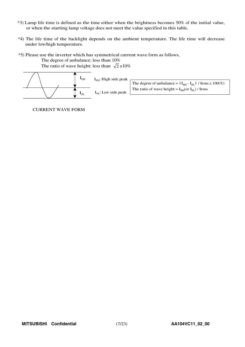- \*3) Lamp life time is defined as the time either when the brightness becomes 50% of the initial value, or when the starting lamp voltage does not meet the value specified in this table.
- \*4) The life time of the backlight depends on the ambient temperature. The life time will decrease under low/high temperature.
- \*5) Please use the inverter which has symmetrical current wave form as follows, The degree of unbalance: less than 10%

The ratio of wave height: less than  $\sqrt{2} \pm 10\%$ 



CURRENT WAVE FORM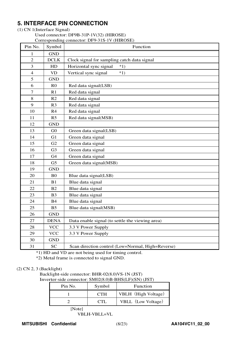# **5. INTERFACE PIN CONNECTION**

### (1) CN 1(Interface Signal)

Used connector: DF9B-31P-1V(32) (HIROSE) Corresponding connector: DF9-31S-1V (HIROSE)

| Pin No.          | Symbol                 | $\text{Corresponding connection}$ . Dr $\text{F-}\text{F-}\text{F}$ (THNOSE)<br>Function |
|------------------|------------------------|------------------------------------------------------------------------------------------|
| 1                | <b>GND</b>             |                                                                                          |
| $\overline{2}$   | <b>DCLK</b>            | Clock signal for sampling catch data signal                                              |
| 3                | HD                     | Horizontal sync signal<br>$*1)$                                                          |
| $\overline{4}$   | $\mathbf{V}\mathbf{D}$ | Vertical sync signal<br>$*1)$                                                            |
| 5                | <b>GND</b>             |                                                                                          |
| 6                | R <sub>0</sub>         | Red data signal(LSB)                                                                     |
| $\boldsymbol{7}$ | R1                     | Red data signal                                                                          |
| 8                | R2                     | Red data signal                                                                          |
| 9                | R <sub>3</sub>         | Red data signal                                                                          |
| 10               | R4                     | Red data signal                                                                          |
| 11               | R <sub>5</sub>         | Red data signal(MSB)                                                                     |
| 12               | <b>GND</b>             |                                                                                          |
| 13               | ${\rm G0}$             | Green data signal(LSB)                                                                   |
| 14               | G1                     | Green data signal                                                                        |
| 15               | G2                     | Green data signal                                                                        |
| 16               | G <sub>3</sub>         | Green data signal                                                                        |
| 17               | G <sub>4</sub>         | Green data signal                                                                        |
| 18               | G <sub>5</sub>         | Green data signal(MSB)                                                                   |
| 19               | <b>GND</b>             |                                                                                          |
| 20               | B <sub>0</sub>         | Blue data signal(LSB)                                                                    |
| 21               | B1                     | Blue data signal                                                                         |
| 22               | B2                     | Blue data signal                                                                         |
| 23               | B <sub>3</sub>         | Blue data signal                                                                         |
| 24               | <b>B4</b>              | Blue data signal                                                                         |
| 25               | B <sub>5</sub>         | Blue data signal(MSB)                                                                    |
| 26               | <b>GND</b>             |                                                                                          |
| 27               | <b>DENA</b>            | Data enable signal (to settle the viewing area)                                          |
| 28               | <b>VCC</b>             | 3.3 V Power Supply                                                                       |
| 29               | <b>VCC</b>             | 3.3 V Power Supply                                                                       |
| 30               | <b>GND</b>             |                                                                                          |
| 31               | <b>SC</b>              | Scan direction control (Low=Normal, High=Reverse)                                        |

\*1) HD and VD are not being used for timing control.

\*2) Metal frame is connected to signal GND.

## (2) CN 2, 3 (Backlight)

Backlight-side connector: BHR-02(8.0)VS-1N (JST) Inverter-side connector: SM02(8.0)B-BHS(LF)(SN) (JST)

| Pin No. | Symbol | Function            |
|---------|--------|---------------------|
|         | C TH   | VBLH (High Voltage) |
|         |        | VBLL (Low Voltage)  |

[Note]

 $VBLH-VBLL=VL$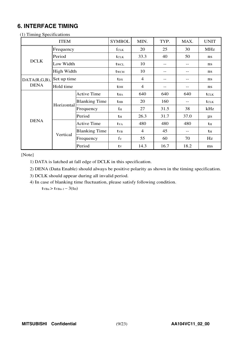# **6. INTERFACE TIMING**

| $(1)$ 1 minus opeen reactions | <b>ITEM</b> |                      | <b>SYMBOL</b>           | MIN.           | TYP. | MAX.  | <b>UNIT</b>  |
|-------------------------------|-------------|----------------------|-------------------------|----------------|------|-------|--------------|
|                               | Frequency   |                      | fclk                    | 20             | 25   | 30    | <b>MHz</b>   |
|                               | Period      |                      | <b>t</b> CLK            | 33.3           | 40   | 50    | ns           |
| <b>DCLK</b>                   | Low Width   |                      | twcl                    | 10             | --   | --    | ns           |
|                               | High Width  |                      | twch                    | 10             | --   | --    | ns           |
| $DATA(R,G,B)$ , Set up time   |             |                      | t <sub>DS</sub>         | $\overline{4}$ |      | --    | ns           |
| <b>DENA</b>                   | Hold time   |                      | <b>t</b> <sub>DH</sub>  | $\overline{4}$ |      |       | ns           |
|                               |             | <b>Active Time</b>   | <b>t</b> HA             | 640            | 640  | 640   | <b>t</b> CLK |
|                               |             | <b>Blanking Time</b> | <b>t</b> HB             | 20             | 160  | --    | <b>t</b> CLK |
|                               | Horizontal  | Frequency            | $f_{\rm H}$             | 27             | 31.5 | 38    | kHz          |
|                               |             | Period               | th                      | 26.3           | 31.7 | 37.0  | $\mu$ s      |
| <b>DENA</b>                   |             | <b>Active Time</b>   | <b>t</b> v <sub>A</sub> | 480            | 480  | 480   | th           |
|                               |             | <b>Blanking Time</b> | <b>t</b> <sub>VB</sub>  | $\overline{4}$ | 45   | $-$ - | th           |
|                               | Vertical    | Frequency            | $f_V$                   | 55             | 60   | 70    | Hz           |
|                               |             | Period               | tv                      | 14.3           | 16.7 | 18.2  | ms           |

(1) Timing Specifications

[Note]

1) DATA is latched at fall edge of DCLK in this specification.

2) DENA (Data Enable) should always be positive polarity as shown in the timing specification.

3) DCLK should appear during all invalid period.

4) In case of blanking time fluctuation, please satisfy following condition.

 $t_{VBn}$  >  $t_{VBn-1}$  – 3( $t_{H}$ )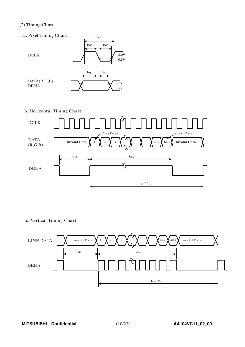### (2) Timing Chart

a. Pixel Timing Chart



 $t_{\scriptstyle{\text{CLK}}}$ 

b. Horizontal Timing Chart



c. Vertical Timing Chart

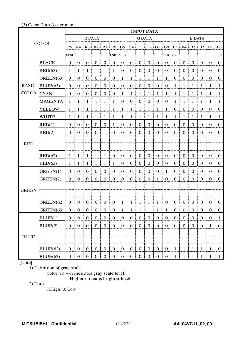### (3) Color Data Assignment

|                   | <b>INPUT DATA</b> |                  |                      |                   |                                              |                                                |                                       |                  |                  |                                              |                       |                  |                  |                                                                                         |                        |                   |                  |                  |                                  |
|-------------------|-------------------|------------------|----------------------|-------------------|----------------------------------------------|------------------------------------------------|---------------------------------------|------------------|------------------|----------------------------------------------|-----------------------|------------------|------------------|-----------------------------------------------------------------------------------------|------------------------|-------------------|------------------|------------------|----------------------------------|
| <b>COLOR</b>      |                   |                  |                      | R DATA            |                                              |                                                |                                       | <b>G DATA</b>    |                  |                                              |                       |                  |                  | <b>B DATA</b>                                                                           |                        |                   |                  |                  |                                  |
|                   |                   |                  |                      |                   |                                              |                                                |                                       |                  |                  |                                              |                       |                  |                  | R5   R4   R3   R2   R1   R0   G5   G4   G3   G2   G1   G0   B5   B4   B3   B2   B1   B0 |                        |                   |                  |                  |                                  |
|                   |                   | MSB              |                      |                   |                                              |                                                | LSB MSB                               |                  |                  |                                              |                       |                  | LSB MSB          |                                                                                         |                        |                   |                  |                  | LSB:                             |
|                   | <b>BLACK</b>      | 0 <sup>1</sup>   | $\mathbf{0}$         | $\overline{0}$    | $\frac{1}{2}$ 0                              | $\boldsymbol{0}$                               | $\begin{array}{c} 0 \\ 0 \end{array}$ | $\mathbf{0}$     | $\mathbf{0}$     | $\begin{matrix} 1 & 0 \\ 0 & 0 \end{matrix}$ | $\boldsymbol{0}$      | $\boldsymbol{0}$ | $\overline{0}$   | $\overline{0}$                                                                          | Ŧ.<br>$\boldsymbol{0}$ | $\mathbf{0}$      | $\boldsymbol{0}$ | $\overline{0}$   | $\pm 0$                          |
|                   | RED(63)           | $\mathbf{1}$     | -1                   | -1                | - 1                                          | $\mathbf{1}$                                   | $\vdash$ 1                            | $\boldsymbol{0}$ | $\boldsymbol{0}$ | $\bf{0}$<br>Ĩ.                               | $\boldsymbol{0}$      | $\boldsymbol{0}$ | $\overline{0}$   | $\mathbf{0}$                                                                            | $\boldsymbol{0}$<br>Ĩ. | $\mathbf{0}$      | $\boldsymbol{0}$ | $\mathbf{0}$     | $\bf{0}$                         |
|                   | GREEN(63)         | $0 \t0$          |                      | $\overline{0}$    | $\begin{matrix} 1 & 0 \\ 0 & 0 \end{matrix}$ | $\overline{0}$<br>Ŧ.                           | $\begin{matrix} 1 & 0 \end{matrix}$   | $\mathbf{1}$     | $\overline{1}$   | $\frac{1}{2}$ 1                              | $\frac{1}{2}$ 1<br>÷  | $\mathbf{1}$     | $\overline{1}$   | $\overline{0}$                                                                          | $\boldsymbol{0}$<br>ŧ. | $\mathbf{0}$<br>ŧ | $\boldsymbol{0}$ | $\mathbf{0}$     | $\vdots$ 0                       |
| <b>BASIC</b>      | BLUE(63)          |                  | $0 \nvert 0$         |                   | $0 \pm 0$                                    | $\begin{bmatrix} 0 & 1 \\ 0 & 0 \end{bmatrix}$ |                                       |                  |                  | $0 \mid 0 \mid 0 \mid 0 \mid 0 \mid 0$       |                       |                  |                  | $1 \nmid 1$                                                                             |                        | $\pm 1$           | $\pm 1$          | $\overline{1}$   | $\pm$ 1.                         |
| <b>COLOR</b> CYAN |                   | 0 <sup>1</sup>   | $\boldsymbol{0}$     | $\mathbf{0}$      | $\frac{1}{2}$ 0                              | $\mathbf{0}$<br>÷                              | $\vdots$ 0                            | $1 \nmid 1$      |                  | ÷<br>$\frac{1}{2}$ 1                         | $\overline{1}$        | $\frac{1}{2}$    | $\pm 1$          | $1 \nmid 1$                                                                             |                        | $\mathbf{1}$      | $\frac{1}{2}$    | - 1              | $\blacksquare$                   |
|                   | <b>MAGENTA</b>    | -1               | -1                   | -1                | -1                                           | $\mathbf{1}$                                   | $\vdash 1$                            | $\mathbf{0}$     | $\boldsymbol{0}$ | $\mathbf{0}$<br>ŧ.                           | $\boldsymbol{0}$      | $\boldsymbol{0}$ | $\vdots$ 0       | 1                                                                                       | $\mathbf{1}$           | $\mathbf{1}$      | -1               | -1               | $\pm 1$                          |
|                   | <b>YELLOW</b>     | 1:               | -1                   | $\pm$ 1           | 1<br>Ŧ.<br>÷                                 | $\mathbf{1}$                                   | $\frac{1}{2}$                         | 1 <sup>1</sup>   | $\overline{1}$   | $\mathbf{1}$<br>÷<br>ŧ.                      | $\mathbf{1}$          | $\mathbf{1}$     | $\mathbf{1}$     | $\boldsymbol{0}$                                                                        | $\mathbf{0}$<br>Ŧ.     | $\mathbf{0}$      | $\boldsymbol{0}$ | $\boldsymbol{0}$ | $\begin{array}{c} 0 \end{array}$ |
|                   | <b>WHITE</b>      | -1               | -1                   | $\mathbf{1}$      | $\mathbf{1}$                                 | $\mathbf{1}$                                   | $\vdash$ 1                            | 1                | $\mathbf{1}$     | ŧ.<br>$\mathbf{1}$                           | $\mathbf{1}$          | $\mathbf{1}$     | $\mathbf{1}$     | 1                                                                                       | 1                      | -1                | $\mathbf{1}$     | -1               | - 1                              |
|                   | RED(1)            | $\overline{0}$   | $\mathbf{0}$         | $\mathbf{0}$      | $\mathbf{0}$                                 | $\mathbf{0}$                                   | -1                                    | $\overline{0}$   | $\overline{0}$   | $\boldsymbol{0}$                             | $\boldsymbol{0}$      | $\boldsymbol{0}$ | $\boldsymbol{0}$ | $\overline{0}$                                                                          | $\overline{0}$         | $\boldsymbol{0}$  | $\boldsymbol{0}$ | $\mathbf{0}$     | $\mathbf{0}$                     |
|                   | RED(2)            | $\overline{0}$   | $\overline{0}$       | $\mathbf{0}$      | $\mathbf{0}$                                 | 1                                              | $\boldsymbol{0}$                      | $\mathbf{0}$     | $\overline{0}$   | $\mathbf{0}$                                 | $\mathbf{0}$          | $\boldsymbol{0}$ | $\boldsymbol{0}$ | $\overline{0}$                                                                          | $\mathbf{0}$           | $\mathbf{0}$      | $\mathbf{0}$     | $\overline{0}$   | $\boldsymbol{0}$                 |
|                   |                   |                  |                      |                   |                                              |                                                |                                       |                  |                  |                                              |                       |                  |                  |                                                                                         |                        |                   |                  |                  |                                  |
| <b>RED</b>        |                   |                  |                      |                   |                                              |                                                |                                       |                  |                  |                                              |                       |                  |                  |                                                                                         |                        |                   |                  |                  |                                  |
|                   | RED(62)           | -1               | $\mathbf{1}$         | $\mathbf{1}$      | $\mathbf{1}$                                 | $\mathbf{1}$                                   | $\boldsymbol{0}$                      | $\overline{0}$   | $\overline{0}$   | $\mathbf{0}$                                 | $\mathbf{0}$          | $\boldsymbol{0}$ | $\overline{0}$   | $\mathbf{0}$                                                                            | $\mathbf{0}$           | $\boldsymbol{0}$  | $\boldsymbol{0}$ | $\overline{0}$   | $\theta$                         |
|                   | RED(63)           | 1                | 1                    | 1                 | 1                                            | 1                                              | 1                                     | $\boldsymbol{0}$ | $\mathbf{0}$     | $\boldsymbol{0}$                             | $\mathbf{0}$          | $\mathbf{0}$     | $\boldsymbol{0}$ | $\overline{0}$                                                                          | $\mathbf{0}$           | $\mathbf{0}$      | $\mathbf{0}$     | $\mathbf{0}$     | $\theta$                         |
|                   | GREEN(1)          | $\overline{0}$   | $\boldsymbol{0}$     | $\boldsymbol{0}$  | $\mathbf{0}$                                 | $\boldsymbol{0}$                               | $\boldsymbol{0}$                      | $\boldsymbol{0}$ | $\boldsymbol{0}$ | $\boldsymbol{0}$                             | $\boldsymbol{0}$      | $\boldsymbol{0}$ | $\mathbf{1}$     | $\boldsymbol{0}$                                                                        | $\boldsymbol{0}$       | $\boldsymbol{0}$  | $\boldsymbol{0}$ | $\boldsymbol{0}$ | $\boldsymbol{0}$                 |
|                   | GREEN(2)          | 0 <sup>1</sup>   | $\boldsymbol{0}$     | $\boldsymbol{0}$  | $\boldsymbol{0}$                             | $\boldsymbol{0}$                               | $\overline{0}$<br>ŧ                   | $\boldsymbol{0}$ | $\boldsymbol{0}$ | $\boldsymbol{0}$<br>Ī<br>ŧ                   | $\boldsymbol{0}$      | 1                | $\boldsymbol{0}$ | $\overline{0}$                                                                          | $\mathbf{0}$<br>ŧ.     | $\mathbf{0}$      | $\boldsymbol{0}$ | $\boldsymbol{0}$ | $\overline{0}$                   |
|                   |                   |                  |                      |                   |                                              |                                                |                                       |                  |                  |                                              |                       |                  |                  |                                                                                         |                        |                   |                  |                  |                                  |
| <b>GREEN</b>      |                   |                  |                      |                   |                                              |                                                |                                       |                  |                  |                                              |                       |                  |                  |                                                                                         |                        |                   |                  |                  |                                  |
|                   | GREEN(62)         | 0 <sup>1</sup>   | $\overline{0}$       | $\mathbf{0}$<br>÷ | $\overline{0}$                               | $\overline{0}$<br>÷                            | $\begin{array}{c} 0 \\ 0 \end{array}$ |                  | $1 \quad 1$      | ÷<br>$\pm 1$                                 | 4<br>$\mathbf{1}$     | -1               | $\overline{0}$   | $0 \t0$                                                                                 |                        | $\boldsymbol{0}$  | $\boldsymbol{0}$ | $\overline{0}$   | $\overline{0}$                   |
|                   | GREEN(63)         | 0 <sup>1</sup>   | $\overline{0}$<br>-9 |                   | 0 0 0 0                                      |                                                | $\boldsymbol{0}$                      | $1\,$            |                  | $1 \mid 1 \mid$                              | $\,$ $\,$ $\,$<br>- 1 | $\mathbf{1}$     | $\,$ 1 $\,$      |                                                                                         | $0 \nvert 0$<br>÷      | $\boldsymbol{0}$  | 0                | $\overline{0}$   | $\bf{0}$                         |
|                   | BLUE(1)           | $\boldsymbol{0}$ | $\boldsymbol{0}$     | $\mathbf{0}$      | $\boldsymbol{0}$                             | $\bf{0}$                                       | $\boldsymbol{0}$                      | $\boldsymbol{0}$ | $\boldsymbol{0}$ | $\boldsymbol{0}$                             | $\boldsymbol{0}$      | $\boldsymbol{0}$ | $\mathbf{0}$     | $\boldsymbol{0}$                                                                        | $\boldsymbol{0}$       | $\mathbf{0}$      | $\boldsymbol{0}$ | $\boldsymbol{0}$ | $\mathbf{1}$                     |
|                   | BLUE(2)           | $\mathbf{0}$     | $\boldsymbol{0}$     | $\mathbf{0}$      | $\boldsymbol{0}$                             | $\boldsymbol{0}$                               | $\boldsymbol{0}$                      | $\mathbf{0}$     | $\mathbf{0}$     | $\boldsymbol{0}$                             | $\boldsymbol{0}$      | $\boldsymbol{0}$ | $\boldsymbol{0}$ | $\mathbf{0}$                                                                            | $\boldsymbol{0}$       | $\mathbf{0}$      | $\boldsymbol{0}$ | $\mathbf{1}$     | $\boldsymbol{0}$                 |
|                   |                   |                  |                      |                   |                                              |                                                |                                       |                  |                  |                                              |                       |                  |                  |                                                                                         |                        |                   |                  |                  |                                  |
| <b>BLUE</b>       |                   |                  |                      |                   |                                              |                                                |                                       |                  |                  |                                              |                       |                  |                  |                                                                                         |                        |                   |                  |                  |                                  |
|                   | BLUE(62)          | $\boldsymbol{0}$ | $\mathbf{0}$         | $\overline{0}$    | $\boldsymbol{0}$                             | $\boldsymbol{0}$                               | $\mathbf{0}$                          | $\mathbf{0}$     | $\overline{0}$   | $\boldsymbol{0}$                             | $\boldsymbol{0}$      | $\boldsymbol{0}$ | $\boldsymbol{0}$ | $\mathbf{1}$                                                                            | $\mathbf{1}$           | $\mathbf{1}$      | $\mathbf{1}$     | 1                | $\boldsymbol{0}$                 |
|                   | BLUE(63)          | $\overline{0}$   | $\mathbf{0}$         | $\overline{0}$    | $\boldsymbol{0}$                             | $\boldsymbol{0}$                               | $\boldsymbol{0}$                      | $\mathbf{0}$     | $\overline{0}$   | $\mathbf{0}$                                 | $\boldsymbol{0}$      | $\boldsymbol{0}$ | $\boldsymbol{0}$ | 1 <sub>1</sub>                                                                          | $\mathbf{1}$           | $\mathbf{1}$      | $\mathbf{1}$     | 1                | $\mathbf{1}$                     |

[Note]

1) Definition of gray scale

Color (n) ---n indicates gray scale level.

Higher n means brighter level.

2) Data

1:High, 0: Low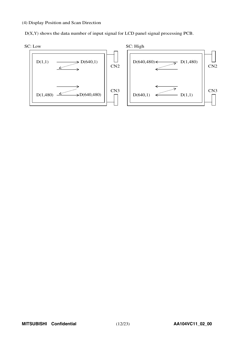### (4) Display Position and Scan Direction

D(X,Y) shows the data number of input signal for LCD panel signal processing PCB.

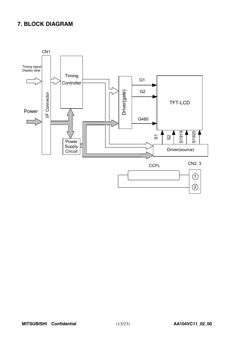# **7. BLOCK DIAGRAM**

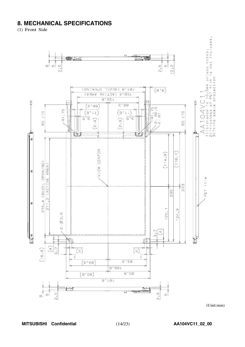# **8. MECHANICAL SPECIFICATIONS**

(1) Front Side



 $(Unit:mm)$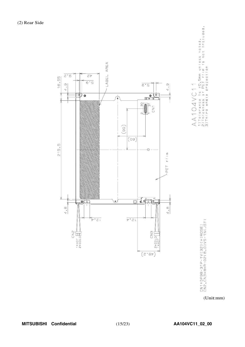

CN1:DF9B-31P-1V(32)(HIROSE)<br>CN2,CN3:BHR-02(8.0)VS-1N(JST)

(Unit:mm)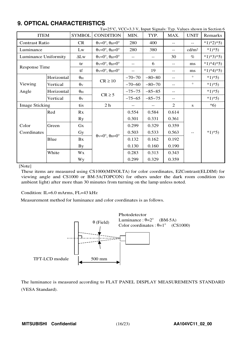# **9. OPTICAL CHARACTERISTICS**

|                       |            |                       | Ta=25°C, VCC=3.3 V, Input Signals: Typ. Values shown in Section 6     |                          |            |       |                   |            |
|-----------------------|------------|-----------------------|-----------------------------------------------------------------------|--------------------------|------------|-------|-------------------|------------|
| <b>ITEM</b>           |            | <b>SYMBOL</b>         | <b>CONDITION</b>                                                      | MIN.                     | TYP.       | MAX.  | <b>UNIT</b>       | Remarks    |
| <b>Contrast Ratio</b> |            | CR                    | $\theta_V = 0^\circ$ , $\theta_H = 0^\circ$                           | 280                      | 400        | $- -$ | $-$               | $*1)*2*5$  |
| Luminance             |            | Lw                    | $\theta$ <sub>V</sub> =0°, $\theta$ <sub>H</sub> =0°                  | 280                      | 380        | $-$   | cd/m <sup>2</sup> | $*1*5)$    |
| Luminance Uniformity  |            | $\Delta L$ w          | $\theta$ v=0°, $\theta$ H=0°                                          | $\overline{\phantom{a}}$ | $-$        | 30    | $\%$              | $*1)*3*5)$ |
|                       |            | tr                    | $\theta$ <sub>V</sub> = $0^\circ$ , $\theta$ <sub>H</sub> = $0^\circ$ | $\overline{\phantom{m}}$ | 6          | $- -$ | ms                | $*1)*4*5)$ |
| <b>Response Time</b>  |            | tf                    | $\theta$ v=0°, $\theta$ H=0°                                          | $- -$                    | 19         | $-$   | ms                | $*1)*4*5$  |
|                       | Horizontal | $\theta_{\rm H}$      | $CR \ge 10$                                                           | $-70-70$                 | $-80 - 80$ | $- -$ | $\circ$           | $*1*5)$    |
| Viewing               | Vertical   | $\theta$ <sub>V</sub> |                                                                       | $-70-60$                 | $-80-70$   | --    | $\circ$           | $*1*5)$    |
| Angle                 | Horizontal | $\theta_{\rm H}$      | $CR \geq 5$                                                           | $-75 - 75$               | $-85 - 85$ | $- -$ |                   | $*1*5)$    |
|                       | Vertical   | $\theta$ v            |                                                                       | $-75 - 65$               | $-85 - 75$ | $-$   |                   | $*1*5)$    |
| <b>Image Sticking</b> |            | tis                   | 2 <sub>h</sub>                                                        |                          |            | 2     | S                 | $*6)$      |
|                       | Red        | Rx                    |                                                                       | 0.554                    | 0.584      | 0.614 |                   |            |
|                       |            | <b>Ry</b>             |                                                                       | 0.301                    | 0.331      | 0.361 |                   |            |
| Color                 | Green      | Gx                    |                                                                       | 0.299                    | 0.329      | 0.359 |                   |            |
| Coordinates           |            | Gy                    | $\theta$ <sub>V</sub> = $0^\circ$ , $\theta$ <sub>H</sub> = $0^\circ$ | 0.503                    | 0.533      | 0.563 |                   | $*1*5)$    |
|                       | Blue       | Bx                    |                                                                       | 0.132                    | 0.162      | 0.192 |                   |            |
|                       |            | <b>By</b>             |                                                                       | 0.130                    | 0.160      | 0.190 |                   |            |
|                       | White      | Wx                    |                                                                       | 0.283                    | 0.313      | 0.343 |                   |            |
|                       |            | <b>Wy</b>             |                                                                       | 0.299                    | 0.329      | 0.359 |                   |            |

[Note]

These items are measured using CS1000(MINOLTA) for color coordinates, EZContrast(ELDIM) for viewing angle and CS1000 or BM-5A(TOPCON) for others under the dark room condition (no ambient light) after more than 30 minutes from turning on the lamp unless noted.

Condition: IL=6.0 mArms, FL=43 kHz

Measurement method for luminance and color coordinates is as follows.



The luminance is measured according to FLAT PANEL DISPLAY MEASUREMENTS STANDARD (VESA Standard).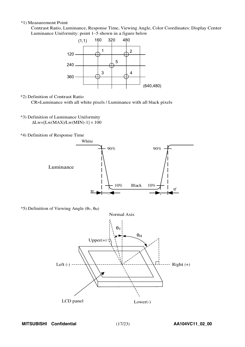### \*1) Measurement Point

Contrast Ratio, Luminance, Response Time, Viewing Angle, Color Coordinates: Display Center Luminanc<sup>e</sup> Uniformity: point <sup>1</sup>∼<sup>5</sup> shown in a figure belo<sup>w</sup>



\*2) Definition of Contrast Ratio

CR=Luminance with all white pixels / Luminance with all black pixels

- \*3) Definition of Luminance Uniformity  $\Delta$ Lw=[Lw(MAX)/Lw(MIN)-1]  $\times$  100
- \*4) Definition of Response Time



 $*$ 5) Definition of Viewing Angle (θ<sub>V</sub>, θ<sub>H</sub>)

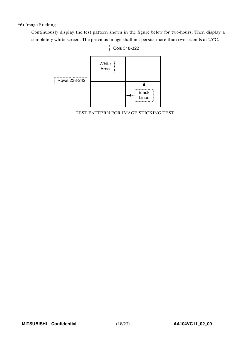## \*6) Image Sticking

Continuously display the test pattern shown in the figure below for two-hours. Then display a completely white screen. The previous image shall not persist more than two seconds at 25°C.



TEST PATTERN FOR IMAGE STICKING TEST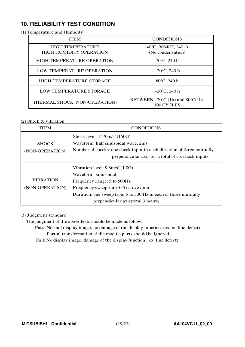# **10. RELIABILITY TEST CONDITION**

### (1) Temperature and Humidity

| <b>ITEM</b>                                               | <b>CONDITIONS</b>                                                   |  |  |  |  |  |
|-----------------------------------------------------------|---------------------------------------------------------------------|--|--|--|--|--|
| <b>HIGH TEMPERATURE</b><br><b>HIGH HUMIDITY OPERATION</b> | 40°C, 90%RH, 240 h<br>(No condensation)                             |  |  |  |  |  |
| <b>HIGH TEMPERATURE OPERATION</b>                         | $70^{\circ}$ C, 240 h                                               |  |  |  |  |  |
| LOW TEMPERATURE OPERATION                                 | $-20^{\circ}$ C, 240 h                                              |  |  |  |  |  |
| <b>HIGH TEMPERATURE STORAGE</b>                           | $80^{\circ}$ C, 240 h                                               |  |  |  |  |  |
| <b>LOW TEMPERATURE STORAGE</b>                            | $-20^{\circ}$ C, 240 h                                              |  |  |  |  |  |
| THERMAL SHOCK (NON-OPERATION)                             | BETWEEN $-20^{\circ}$ C (1h) and 80 $^{\circ}$ C(1h),<br>100 CYCLES |  |  |  |  |  |

# (2) Shock & Vibration

| ITEM             | <b>CONDITIONS</b>                                                     |
|------------------|-----------------------------------------------------------------------|
|                  | Shock level: 1470m/s <sup>2</sup> (150G)                              |
| <b>SHOCK</b>     | Waveform: half sinusoidal wave, 2ms                                   |
| (NON-OPERATION)  | Number of shocks: one shock input in each direction of three mutually |
|                  | perpendicular axis for a total of six shock inputs                    |
|                  | Vibration level: $9.8m/s2$ (1.0G)                                     |
|                  | Waveform: sinusoidal                                                  |
| <b>VIBRATION</b> | Frequency range: 5 to 500Hz                                           |
| (NON-OPERATION)  | Frequency sweep rate: 0.5 octave /min                                 |
|                  | Duration: one sweep from 5 to 500 Hz in each of three mutually        |
|                  | perpendicular axis (total 3 hours)                                    |

### (3) Judgment standard

The judgment of the above tests should be made as follow:

Pass: Normal display image, no damage of the display function. (ex. no line defect) Partial transformation of the module parts should be ignored.

Fail: No display image, damage of the display function. (ex. line defect)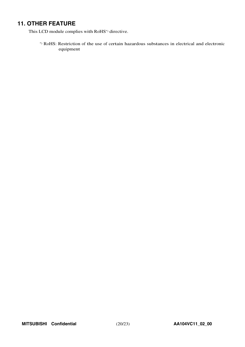# **11. OTHER FEATURE**

This LCD module complies with RoHS\*) directive.

\*) RoHS: Restriction of the use of certain hazardous substances in electrical and electronic equipment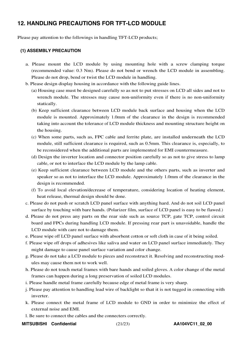# **12. HANDLING PRECAUTIONS FOR TFT-LCD MODULE**

Please pay attention to the followings in handling TFT-LCD products;

## **(1) ASSEMBLY PRECAUTION**

- a. Please mount the LCD module by using mounting hole with a screw clamping torque (recommended value: 0.3 Nm). Please do not bend or wrench the LCD module in assembling. Please do not drop, bend or twist the LCD module in handling.
- b. Please design display housing in accordance with the following guide lines.
	- (a) Housing case must be designed carefully so as not to put stresses on LCD all sides and not to wrench module. The stresses may cause non-uniformity even if there is no non-uniformity statically.
	- (b) Keep sufficient clearance between LCD module back surface and housing when the LCD module is mounted. Approximately 1.0mm of the clearance in the design is recommended taking into account the tolerance of LCD module thickness and mounting structure height on the housing.
	- (c) When some parts, such as, FPC cable and ferrite plate, are installed underneath the LCD module, still sufficient clearance is required, such as 0.5mm. This clearance is, especially, to be reconsidered when the additional parts are implemented for EMI countermeasure.
	- (d) Design the inverter location and connector position carefully so as not to give stress to lamp cable, or not to interface the LCD module by the lamp cable.
	- (e) Keep sufficient clearance between LCD module and the others parts, such as inverter and speaker so as not to interface the LCD module. Approximately 1.0mm of the clearance in the design is recommended.
	- (f) To avoid local elevation/decrease of temperature, considering location of heating element, heat release, thermal design should be done.
- c. Please do not push or scratch LCD panel surface with anything hard. And do not soil LCD panel surface by touching with bare hands. (Polarizer film, surface of LCD panel is easy to be flawed.)
- d. Please do not press any parts on the rear side such as source TCP, gate TCP, control circuit board and FPCs during handling LCD module. If pressing rear part is unavoidable, handle the LCD module with care not to damage them.
- e. Please wipe off LCD panel surface with absorbent cotton or soft cloth in case of it being soiled.
- f. Please wipe off drops of adhesives like saliva and water on LCD panel surface immediately. They might damage to cause panel surface variation and color change.
- g. Please do not take a LCD module to pieces and reconstruct it. Resolving and reconstructing modules may cause them not to work well.
- h. Please do not touch metal frames with bare hands and soiled gloves. A color change of the metal frames can happen during a long preservation of soiled LCD modules.
- i. Please handle metal frame carefully because edge of metal frame is very sharp.
- j. Please pay attention to handling lead wire of backlight so that it is not tugged in connecting with inverter.
- k. Please connect the metal frame of LCD module to GND in order to minimize the effect of external noise and EMI.
- l. Be sure to connect the cables and the connecters correctly.
- **MITSUBISHI Confidential** (21/23) **AA104VC11\_02\_00**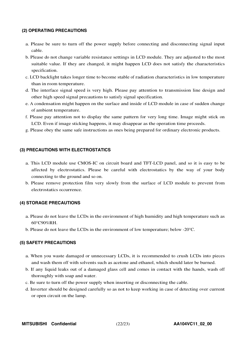## **(2) OPERATING PRECAUTIONS**

- a. Please be sure to turn off the power supply before connecting and disconnecting signal input cable.
- b. Please do not change variable resistance settings in LCD module. They are adjusted to the most suitable value. If they are changed, it might happen LCD does not satisfy the characteristics specification.
- c. LCD backlight takes longer time to become stable of radiation characteristics in low temperature than in room temperature.
- d. The interface signal speed is very high. Please pay attention to transmission line design and other high speed signal precautions to satisfy signal specification.
- e. A condensation might happen on the surface and inside of LCD module in case of sudden change of ambient temperature.
- f. Please pay attention not to display the same pattern for very long time. Image might stick on LCD. Even if image sticking happens, it may disappear as the operation time proceeds.
- g. Please obey the same safe instructions as ones being prepared for ordinary electronic products.

### **(3) PRECAUTIONS WITH ELECTROSTATICS**

- a. This LCD module use CMOS-IC on circuit board and TFT-LCD panel, and so it is easy to be affected by electrostatics. Please be careful with electrostatics by the way of your body connecting to the ground and so on.
- b. Please remove protection film very slowly from the surface of LCD module to prevent from electrostatics occurrence.

### **(4) STORAGE PRECAUTIONS**

- a. Please do not leave the LCDs in the environment of high humidity and high temperature such as 60°C90%RH.
- b. Please do not leave the LCDs in the environment of low temperature; below -20°C.

### **(5) SAFETY PRECAUTIONS**

- a. When you waste damaged or unnecessary LCDs, it is recommended to crush LCDs into pieces and wash them off with solvents such as acetone and ethanol, which should later be burned.
- b. If any liquid leaks out of a damaged glass cell and comes in contact with the hands, wash off thoroughly with soap and water.
- c. Be sure to turn off the power supply when inserting or disconnecting the cable.
- d. Inverter should be designed carefully so as not to keep working in case of detecting over current or open circuit on the lamp.